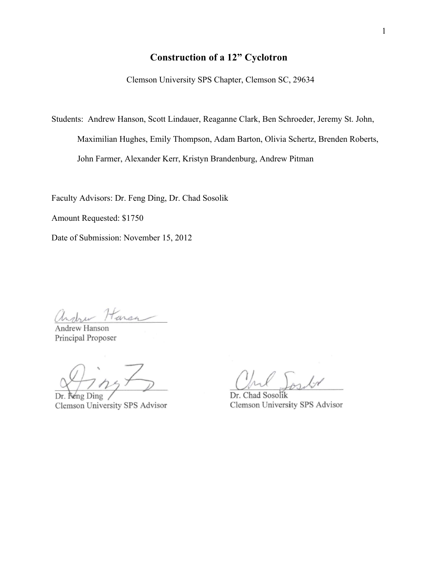## **Construction of a 12" Cyclotron**

Clemson University SPS Chapter, Clemson SC, 29634

Students: Andrew Hanson, Scott Lindauer, Reaganne Clark, Ben Schroeder, Jeremy St. John, Maximilian Hughes, Emily Thompson, Adam Barton, Olivia Schertz, Brenden Roberts, John Farmer, Alexander Kerr, Kristyn Brandenburg, Andrew Pitman

Faculty Advisors: Dr. Feng Ding, Dr. Chad Sosolik

Amount Requested: \$1750

Date of Submission: November 15, 2012

andrew Harsa

Andrew Hanson Principal Proposer

Neng Ding Dr Clemson University SPS Advisor

kÅ

Dr. Chad Sosolik Clemson University SPS Advisor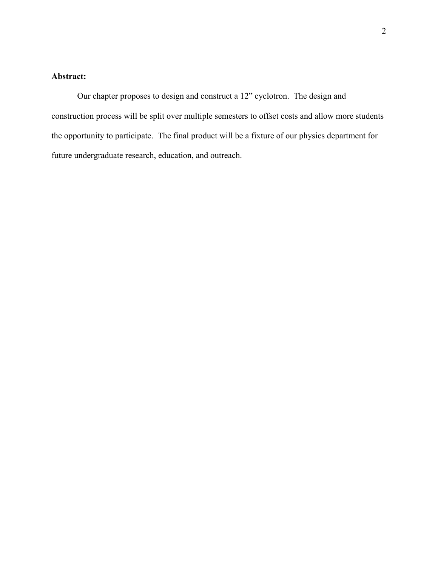### **Abstract:**

Our chapter proposes to design and construct a 12" cyclotron. The design and construction process will be split over multiple semesters to offset costs and allow more students the opportunity to participate. The final product will be a fixture of our physics department for future undergraduate research, education, and outreach.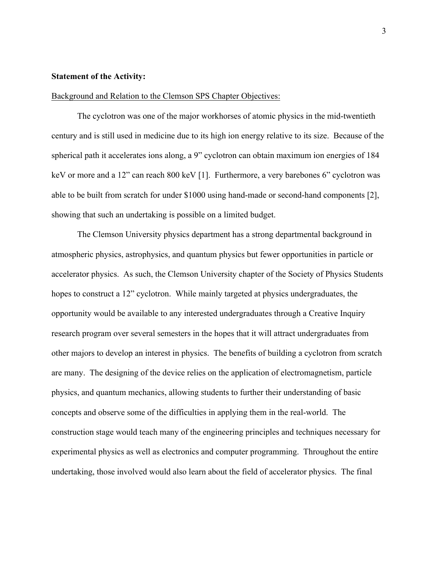#### **Statement of the Activity:**

#### Background and Relation to the Clemson SPS Chapter Objectives:

The cyclotron was one of the major workhorses of atomic physics in the mid-twentieth century and is still used in medicine due to its high ion energy relative to its size. Because of the spherical path it accelerates ions along, a 9" cyclotron can obtain maximum ion energies of 184 keV or more and a 12" can reach 800 keV [1]. Furthermore, a very barebones 6" cyclotron was able to be built from scratch for under \$1000 using hand-made or second-hand components [2], showing that such an undertaking is possible on a limited budget.

The Clemson University physics department has a strong departmental background in atmospheric physics, astrophysics, and quantum physics but fewer opportunities in particle or accelerator physics. As such, the Clemson University chapter of the Society of Physics Students hopes to construct a 12" cyclotron. While mainly targeted at physics undergraduates, the opportunity would be available to any interested undergraduates through a Creative Inquiry research program over several semesters in the hopes that it will attract undergraduates from other majors to develop an interest in physics. The benefits of building a cyclotron from scratch are many. The designing of the device relies on the application of electromagnetism, particle physics, and quantum mechanics, allowing students to further their understanding of basic concepts and observe some of the difficulties in applying them in the real-world. The construction stage would teach many of the engineering principles and techniques necessary for experimental physics as well as electronics and computer programming. Throughout the entire undertaking, those involved would also learn about the field of accelerator physics. The final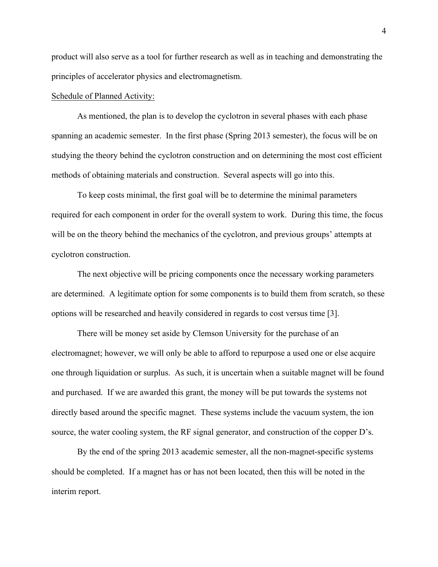product will also serve as a tool for further research as well as in teaching and demonstrating the principles of accelerator physics and electromagnetism.

#### Schedule of Planned Activity:

As mentioned, the plan is to develop the cyclotron in several phases with each phase spanning an academic semester. In the first phase (Spring 2013 semester), the focus will be on studying the theory behind the cyclotron construction and on determining the most cost efficient methods of obtaining materials and construction. Several aspects will go into this.

To keep costs minimal, the first goal will be to determine the minimal parameters required for each component in order for the overall system to work. During this time, the focus will be on the theory behind the mechanics of the cyclotron, and previous groups' attempts at cyclotron construction.

The next objective will be pricing components once the necessary working parameters are determined. A legitimate option for some components is to build them from scratch, so these options will be researched and heavily considered in regards to cost versus time [3].

There will be money set aside by Clemson University for the purchase of an electromagnet; however, we will only be able to afford to repurpose a used one or else acquire one through liquidation or surplus. As such, it is uncertain when a suitable magnet will be found and purchased. If we are awarded this grant, the money will be put towards the systems not directly based around the specific magnet. These systems include the vacuum system, the ion source, the water cooling system, the RF signal generator, and construction of the copper D's.

By the end of the spring 2013 academic semester, all the non-magnet-specific systems should be completed. If a magnet has or has not been located, then this will be noted in the interim report.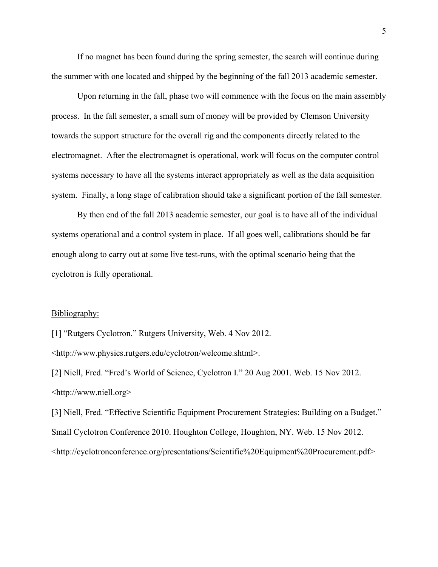If no magnet has been found during the spring semester, the search will continue during the summer with one located and shipped by the beginning of the fall 2013 academic semester.

Upon returning in the fall, phase two will commence with the focus on the main assembly process. In the fall semester, a small sum of money will be provided by Clemson University towards the support structure for the overall rig and the components directly related to the electromagnet. After the electromagnet is operational, work will focus on the computer control systems necessary to have all the systems interact appropriately as well as the data acquisition system. Finally, a long stage of calibration should take a significant portion of the fall semester.

By then end of the fall 2013 academic semester, our goal is to have all of the individual systems operational and a control system in place. If all goes well, calibrations should be far enough along to carry out at some live test-runs, with the optimal scenario being that the cyclotron is fully operational.

#### Bibliography:

[1] "Rutgers Cyclotron." Rutgers University, Web. 4 Nov 2012.

<http://www.physics.rutgers.edu/cyclotron/welcome.shtml>.

[2] Niell, Fred. "Fred's World of Science, Cyclotron I." 20 Aug 2001. Web. 15 Nov 2012. <http://www.niell.org>

[3] Niell, Fred. "Effective Scientific Equipment Procurement Strategies: Building on a Budget." Small Cyclotron Conference 2010. Houghton College, Houghton, NY. Web. 15 Nov 2012. <http://cyclotronconference.org/presentations/Scientific%20Equipment%20Procurement.pdf>